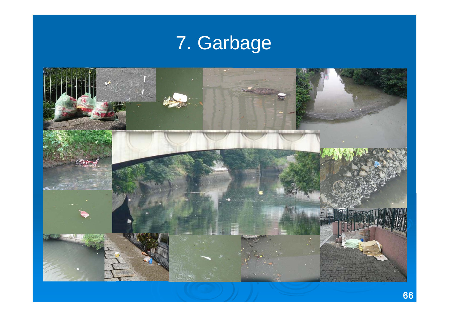## 7. Garbage

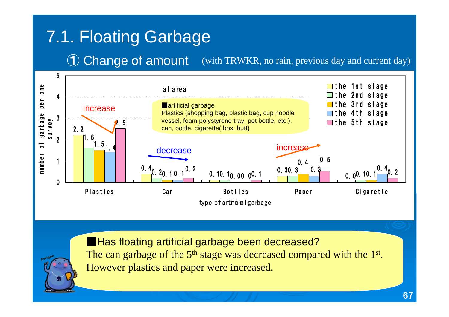## 7.1. Floating Garbage

(with TRWKR, no rain, previous day and current day) ① Change of amount





■Has floating artificial garbage been decreased? The can garbage of the  $5<sup>th</sup>$  stage was decreased compared with the  $1<sup>st</sup>$ . However plastics and paper were increased.